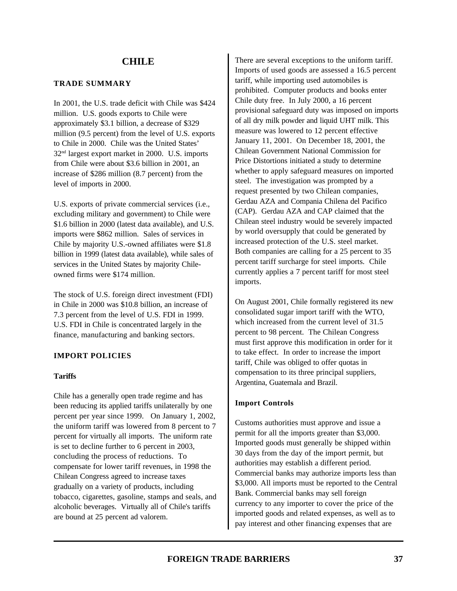#### **TRADE SUMMARY**

In 2001, the U.S. trade deficit with Chile was \$424 million. U.S. goods exports to Chile were approximately \$3.1 billion, a decrease of \$329 million (9.5 percent) from the level of U.S. exports to Chile in 2000. Chile was the United States' 32nd largest export market in 2000. U.S. imports from Chile were about \$3.6 billion in 2001, an increase of \$286 million (8.7 percent) from the level of imports in 2000.

U.S. exports of private commercial services (i.e., excluding military and government) to Chile were \$1.6 billion in 2000 (latest data available), and U.S. imports were \$862 million. Sales of services in Chile by majority U.S.-owned affiliates were \$1.8 billion in 1999 (latest data available), while sales of services in the United States by majority Chileowned firms were \$174 million.

The stock of U.S. foreign direct investment (FDI) in Chile in 2000 was \$10.8 billion, an increase of 7.3 percent from the level of U.S. FDI in 1999. U.S. FDI in Chile is concentrated largely in the finance, manufacturing and banking sectors.

# **IMPORT POLICIES**

# **Tariffs**

Chile has a generally open trade regime and has been reducing its applied tariffs unilaterally by one percent per year since 1999. On January 1, 2002, the uniform tariff was lowered from 8 percent to 7 percent for virtually all imports. The uniform rate is set to decline further to 6 percent in 2003, concluding the process of reductions. To compensate for lower tariff revenues, in 1998 the Chilean Congress agreed to increase taxes gradually on a variety of products, including tobacco, cigarettes, gasoline, stamps and seals, and alcoholic beverages. Virtually all of Chile's tariffs are bound at 25 percent ad valorem.

There are several exceptions to the uniform tariff. Imports of used goods are assessed a 16.5 percent tariff, while importing used automobiles is prohibited. Computer products and books enter Chile duty free. In July 2000, a 16 percent provisional safeguard duty was imposed on imports of all dry milk powder and liquid UHT milk. This measure was lowered to 12 percent effective January 11, 2001. On December 18, 2001, the Chilean Government National Commission for Price Distortions initiated a study to determine whether to apply safeguard measures on imported steel. The investigation was prompted by a request presented by two Chilean companies, Gerdau AZA and Compania Chilena del Pacifico (CAP). Gerdau AZA and CAP claimed that the Chilean steel industry would be severely impacted by world oversupply that could be generated by increased protection of the U.S. steel market. Both companies are calling for a 25 percent to 35 percent tariff surcharge for steel imports. Chile currently applies a 7 percent tariff for most steel imports.

On August 2001, Chile formally registered its new consolidated sugar import tariff with the WTO, which increased from the current level of 31.5 percent to 98 percent. The Chilean Congress must first approve this modification in order for it to take effect. In order to increase the import tariff, Chile was obliged to offer quotas in compensation to its three principal suppliers, Argentina, Guatemala and Brazil.

# **Import Controls**

Customs authorities must approve and issue a permit for all the imports greater than \$3,000. Imported goods must generally be shipped within 30 days from the day of the import permit, but authorities may establish a different period. Commercial banks may authorize imports less than \$3,000. All imports must be reported to the Central Bank. Commercial banks may sell foreign currency to any importer to cover the price of the imported goods and related expenses, as well as to pay interest and other financing expenses that are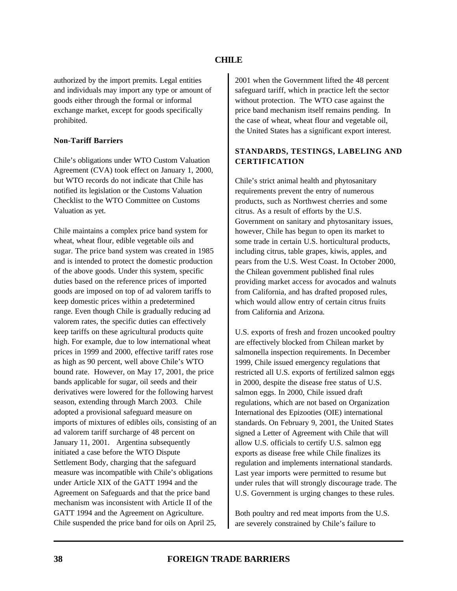authorized by the import premits. Legal entities and individuals may import any type or amount of goods either through the formal or informal exchange market, except for goods specifically prohibited.

#### **Non-Tariff Barriers**

Chile's obligations under WTO Custom Valuation Agreement (CVA) took effect on January 1, 2000, but WTO records do not indicate that Chile has notified its legislation or the Customs Valuation Checklist to the WTO Committee on Customs Valuation as yet.

Chile maintains a complex price band system for wheat, wheat flour, edible vegetable oils and sugar. The price band system was created in 1985 and is intended to protect the domestic production of the above goods. Under this system, specific duties based on the reference prices of imported goods are imposed on top of ad valorem tariffs to keep domestic prices within a predetermined range. Even though Chile is gradually reducing ad valorem rates, the specific duties can effectively keep tariffs on these agricultural products quite high. For example, due to low international wheat prices in 1999 and 2000, effective tariff rates rose as high as 90 percent, well above Chile's WTO bound rate. However, on May 17, 2001, the price bands applicable for sugar, oil seeds and their derivatives were lowered for the following harvest season, extending through March 2003. Chile adopted a provisional safeguard measure on imports of mixtures of edibles oils, consisting of an ad valorem tariff surcharge of 48 percent on January 11, 2001. Argentina subsequently initiated a case before the WTO Dispute Settlement Body, charging that the safeguard measure was incompatible with Chile's obligations under Article XIX of the GATT 1994 and the Agreement on Safeguards and that the price band mechanism was inconsistent with Article II of the GATT 1994 and the Agreement on Agriculture. Chile suspended the price band for oils on April 25,

2001 when the Government lifted the 48 percent safeguard tariff, which in practice left the sector without protection. The WTO case against the price band mechanism itself remains pending. In the case of wheat, wheat flour and vegetable oil, the United States has a significant export interest.

# **STANDARDS, TESTINGS, LABELING AND CERTIFICATION**

Chile's strict animal health and phytosanitary requirements prevent the entry of numerous products, such as Northwest cherries and some citrus. As a result of efforts by the U.S. Government on sanitary and phytosanitary issues, however, Chile has begun to open its market to some trade in certain U.S. horticultural products, including citrus, table grapes, kiwis, apples, and pears from the U.S. West Coast. In October 2000, the Chilean government published final rules providing market access for avocados and walnuts from California, and has drafted proposed rules, which would allow entry of certain citrus fruits from California and Arizona.

U.S. exports of fresh and frozen uncooked poultry are effectively blocked from Chilean market by salmonella inspection requirements. In December 1999, Chile issued emergency regulations that restricted all U.S. exports of fertilized salmon eggs in 2000, despite the disease free status of U.S. salmon eggs. In 2000, Chile issued draft regulations, which are not based on Organization International des Epizooties (OIE) international standards. On February 9, 2001, the United States signed a Letter of Agreement with Chile that will allow U.S. officials to certify U.S. salmon egg exports as disease free while Chile finalizes its regulation and implements international standards. Last year imports were permitted to resume but under rules that will strongly discourage trade. The U.S. Government is urging changes to these rules.

Both poultry and red meat imports from the U.S. are severely constrained by Chile's failure to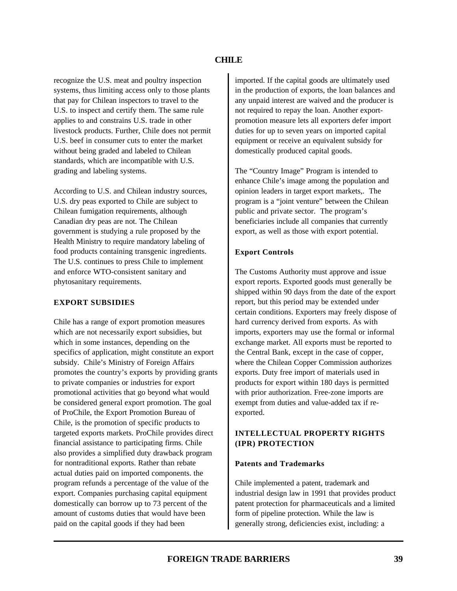recognize the U.S. meat and poultry inspection systems, thus limiting access only to those plants that pay for Chilean inspectors to travel to the U.S. to inspect and certify them. The same rule applies to and constrains U.S. trade in other livestock products. Further, Chile does not permit U.S. beef in consumer cuts to enter the market without being graded and labeled to Chilean standards, which are incompatible with U.S. grading and labeling systems.

According to U.S. and Chilean industry sources, U.S. dry peas exported to Chile are subject to Chilean fumigation requirements, although Canadian dry peas are not. The Chilean government is studying a rule proposed by the Health Ministry to require mandatory labeling of food products containing transgenic ingredients. The U.S. continues to press Chile to implement and enforce WTO-consistent sanitary and phytosanitary requirements.

# **EXPORT SUBSIDIES**

Chile has a range of export promotion measures which are not necessarily export subsidies, but which in some instances, depending on the specifics of application, might constitute an export subsidy. Chile's Ministry of Foreign Affairs promotes the country's exports by providing grants to private companies or industries for export promotional activities that go beyond what would be considered general export promotion. The goal of ProChile, the Export Promotion Bureau of Chile, is the promotion of specific products to targeted exports markets. ProChile provides direct financial assistance to participating firms. Chile also provides a simplified duty drawback program for nontraditional exports. Rather than rebate actual duties paid on imported components. the program refunds a percentage of the value of the export. Companies purchasing capital equipment domestically can borrow up to 73 percent of the amount of customs duties that would have been paid on the capital goods if they had been

imported. If the capital goods are ultimately used in the production of exports, the loan balances and any unpaid interest are waived and the producer is not required to repay the loan. Another exportpromotion measure lets all exporters defer import duties for up to seven years on imported capital equipment or receive an equivalent subsidy for domestically produced capital goods.

The "Country Image" Program is intended to enhance Chile's image among the population and opinion leaders in target export markets,. The program is a "joint venture" between the Chilean public and private sector. The program's beneficiaries include all companies that currently export, as well as those with export potential.

# **Export Controls**

The Customs Authority must approve and issue export reports. Exported goods must generally be shipped within 90 days from the date of the export report, but this period may be extended under certain conditions. Exporters may freely dispose of hard currency derived from exports. As with imports, exporters may use the formal or informal exchange market. All exports must be reported to the Central Bank, except in the case of copper, where the Chilean Copper Commission authorizes exports. Duty free import of materials used in products for export within 180 days is permitted with prior authorization. Free-zone imports are exempt from duties and value-added tax if reexported.

# **INTELLECTUAL PROPERTY RIGHTS (IPR) PROTECTION**

# **Patents and Trademarks**

Chile implemented a patent, trademark and industrial design law in 1991 that provides product patent protection for pharmaceuticals and a limited form of pipeline protection. While the law is generally strong, deficiencies exist, including: a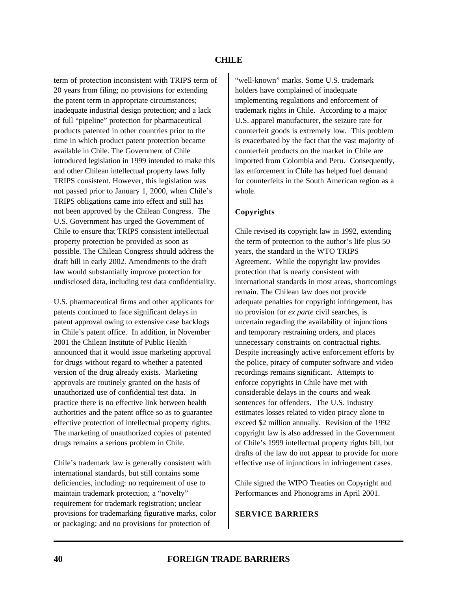term of protection inconsistent with TRIPS term of 20 years from filing; no provisions for extending the patent term in appropriate circumstances; inadequate industrial design protection; and a lack of full "pipeline" protection for pharmaceutical products patented in other countries prior to the time in which product patent protection became available in Chile. The Government of Chile introduced legislation in 1999 intended to make this and other Chilean intellectual property laws fully TRIPS consistent. However, this legislation was not passed prior to January 1, 2000, when Chile's TRIPS obligations came into effect and still has not been approved by the Chilean Congress. The U.S. Government has urged the Government of Chile to ensure that TRIPS consistent intellectual property protection be provided as soon as possible. The Chilean Congress should address the draft bill in early 2002. Amendments to the draft law would substantially improve protection for undisclosed data, including test data confidentiality.

U.S. pharmaceutical firms and other applicants for patents continued to face significant delays in patent approval owing to extensive case backlogs in Chile's patent office. In addition, in November 2001 the Chilean Institute of Public Health announced that it would issue marketing approval for drugs without regard to whether a patented version of the drug already exists. Marketing approvals are routinely granted on the basis of unauthorized use of confidential test data. In practice there is no effective link between health authorities and the patent office so as to guarantee effective protection of intellectual property rights. The marketing of unauthorized copies of patented drugs remains a serious problem in Chile.

Chile's trademark law is generally consistent with international standards, but still contains some deficiencies, including: no requirement of use to maintain trademark protection; a "novelty" requirement for trademark registration; unclear provisions for trademarking figurative marks, color or packaging; and no provisions for protection of

"well-known" marks. Some U.S. trademark holders have complained of inadequate implementing regulations and enforcement of trademark rights in Chile. According to a major U.S. apparel manufacturer, the seizure rate for counterfeit goods is extremely low. This problem is exacerbated by the fact that the vast majority of counterfeit products on the market in Chile are imported from Colombia and Peru. Consequently, lax enforcement in Chile has helped fuel demand for counterfeits in the South American region as a whole.

# **Copyrights**

Chile revised its copyright law in 1992, extending the term of protection to the author's life plus 50 years, the standard in the WTO TRIPS Agreement. While the copyright law provides protection that is nearly consistent with international standards in most areas, shortcomings remain. The Chilean law does not provide adequate penalties for copyright infringement, has no provision for *ex parte* civil searches, is uncertain regarding the availability of injunctions and temporary restraining orders, and places unnecessary constraints on contractual rights. Despite increasingly active enforcement efforts by the police, piracy of computer software and video recordings remains significant. Attempts to enforce copyrights in Chile have met with considerable delays in the courts and weak sentences for offenders. The U.S. industry estimates losses related to video piracy alone to exceed \$2 million annually. Revision of the 1992 copyright law is also addressed in the Government of Chile's 1999 intellectual property rights bill, but drafts of the law do not appear to provide for more effective use of injunctions in infringement cases.

Chile signed the WIPO Treaties on Copyright and Performances and Phonograms in April 2001.

# **SERVICE BARRIERS**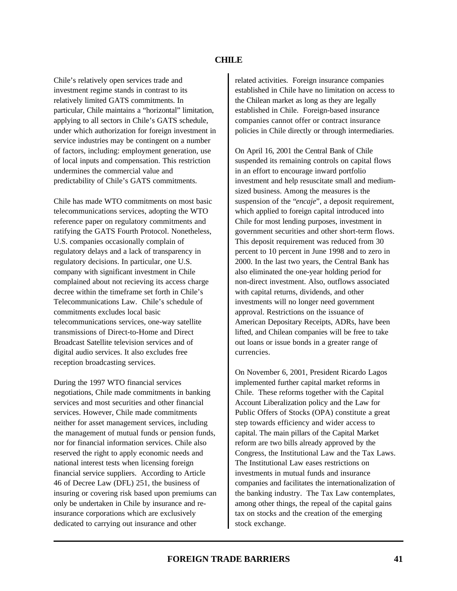Chile's relatively open services trade and investment regime stands in contrast to its relatively limited GATS commitments. In particular, Chile maintains a "horizontal" limitation, applying to all sectors in Chile's GATS schedule, under which authorization for foreign investment in service industries may be contingent on a number of factors, including: employment generation, use of local inputs and compensation. This restriction undermines the commercial value and predictability of Chile's GATS commitments.

Chile has made WTO commitments on most basic telecommunications services, adopting the WTO reference paper on regulatory commitments and ratifying the GATS Fourth Protocol. Nonetheless, U.S. companies occasionally complain of regulatory delays and a lack of transparency in regulatory decisions. In particular, one U.S. company with significant investment in Chile complained about not recieving its access charge decree within the timeframe set forth in Chile's Telecommunications Law. Chile's schedule of commitments excludes local basic telecommunications services, one-way satellite transmissions of Direct-to-Home and Direct Broadcast Satellite television services and of digital audio services. It also excludes free reception broadcasting services.

During the 1997 WTO financial services negotiations, Chile made commitments in banking services and most securities and other financial services. However, Chile made commitments neither for asset management services, including the management of mutual funds or pension funds, nor for financial information services. Chile also reserved the right to apply economic needs and national interest tests when licensing foreign financial service suppliers. According to Article 46 of Decree Law (DFL) 251, the business of insuring or covering risk based upon premiums can only be undertaken in Chile by insurance and reinsurance corporations which are exclusively dedicated to carrying out insurance and other

related activities. Foreign insurance companies established in Chile have no limitation on access to the Chilean market as long as they are legally established in Chile. Foreign-based insurance companies cannot offer or contract insurance policies in Chile directly or through intermediaries.

On April 16, 2001 the Central Bank of Chile suspended its remaining controls on capital flows in an effort to encourage inward portfolio investment and help resuscitate small and mediumsized business. Among the measures is the suspension of the "*encaje*", a deposit requirement, which applied to foreign capital introduced into Chile for most lending purposes, investment in government securities and other short-term flows. This deposit requirement was reduced from 30 percent to 10 percent in June 1998 and to zero in 2000. In the last two years, the Central Bank has also eliminated the one-year holding period for non-direct investment. Also, outflows associated with capital returns, dividends, and other investments will no longer need government approval. Restrictions on the issuance of American Depositary Receipts, ADRs, have been lifted, and Chilean companies will be free to take out loans or issue bonds in a greater range of currencies.

On November 6, 2001, President Ricardo Lagos implemented further capital market reforms in Chile. These reforms together with the Capital Account Liberalization policy and the Law for Public Offers of Stocks (OPA) constitute a great step towards efficiency and wider access to capital. The main pillars of the Capital Market reform are two bills already approved by the Congress, the Institutional Law and the Tax Laws. The Institutional Law eases restrictions on investments in mutual funds and insurance companies and facilitates the internationalization of the banking industry. The Tax Law contemplates, among other things, the repeal of the capital gains tax on stocks and the creation of the emerging stock exchange.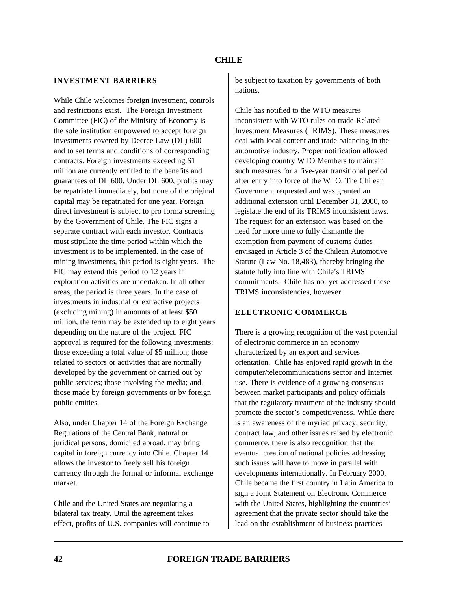#### **INVESTMENT BARRIERS**

While Chile welcomes foreign investment, controls and restrictions exist. The Foreign Investment Committee (FIC) of the Ministry of Economy is the sole institution empowered to accept foreign investments covered by Decree Law (DL) 600 and to set terms and conditions of corresponding contracts. Foreign investments exceeding \$1 million are currently entitled to the benefits and guarantees of DL 600. Under DL 600, profits may be repatriated immediately, but none of the original capital may be repatriated for one year. Foreign direct investment is subject to pro forma screening by the Government of Chile. The FIC signs a separate contract with each investor. Contracts must stipulate the time period within which the investment is to be implemented. In the case of mining investments, this period is eight years. The FIC may extend this period to 12 years if exploration activities are undertaken. In all other areas, the period is three years. In the case of investments in industrial or extractive projects (excluding mining) in amounts of at least \$50 million, the term may be extended up to eight years depending on the nature of the project. FIC approval is required for the following investments: those exceeding a total value of \$5 million; those related to sectors or activities that are normally developed by the government or carried out by public services; those involving the media; and, those made by foreign governments or by foreign public entities.

Also, under Chapter 14 of the Foreign Exchange Regulations of the Central Bank, natural or juridical persons, domiciled abroad, may bring capital in foreign currency into Chile. Chapter 14 allows the investor to freely sell his foreign currency through the formal or informal exchange market.

Chile and the United States are negotiating a bilateral tax treaty. Until the agreement takes effect, profits of U.S. companies will continue to be subject to taxation by governments of both nations.

Chile has notified to the WTO measures inconsistent with WTO rules on trade-Related Investment Measures (TRIMS). These measures deal with local content and trade balancing in the automotive industry. Proper notification allowed developing country WTO Members to maintain such measures for a five-year transitional period after entry into force of the WTO. The Chilean Government requested and was granted an additional extension until December 31, 2000, to legislate the end of its TRIMS inconsistent laws. The request for an extension was based on the need for more time to fully dismantle the exemption from payment of customs duties envisaged in Article 3 of the Chilean Automotive Statute (Law No. 18,483), thereby bringing the statute fully into line with Chile's TRIMS commitments. Chile has not yet addressed these TRIMS inconsistencies, however.

# **ELECTRONIC COMMERCE**

There is a growing recognition of the vast potential of electronic commerce in an economy characterized by an export and services orientation. Chile has enjoyed rapid growth in the computer/telecommunications sector and Internet use. There is evidence of a growing consensus between market participants and policy officials that the regulatory treatment of the industry should promote the sector's competitiveness. While there is an awareness of the myriad privacy, security, contract law, and other issues raised by electronic commerce, there is also recognition that the eventual creation of national policies addressing such issues will have to move in parallel with developments internationally. In February 2000, Chile became the first country in Latin America to sign a Joint Statement on Electronic Commerce with the United States, highlighting the countries' agreement that the private sector should take the lead on the establishment of business practices